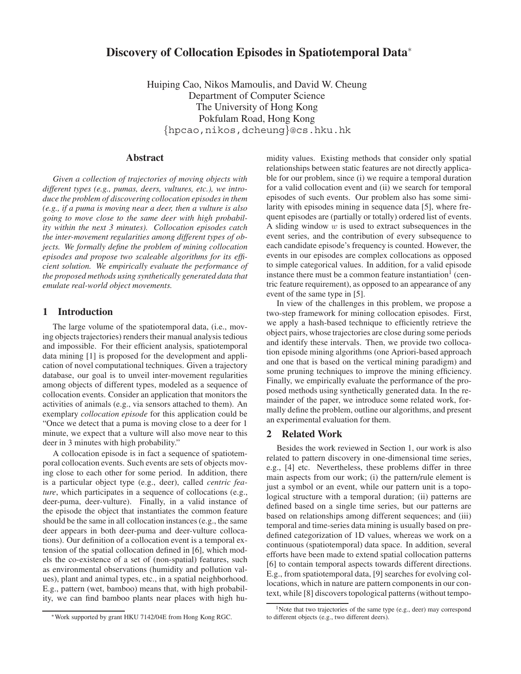# **Discovery of Collocation Episodes in Spatiotemporal Data**<sup>∗</sup>

Huiping Cao, Nikos Mamoulis, and David W. Cheung Department of Computer Science The University of Hong Kong Pokfulam Road, Hong Kong {hpcao,nikos,dcheung}@cs.hku.hk

## **Abstract**

*Given a collection of trajectories of moving objects with different types (e.g., pumas, deers, vultures, etc.), we introduce the problem of discovering collocation episodes in them (e.g., if a puma is moving near a deer, then a vulture is also going to move close to the same deer with high probability within the next 3 minutes). Collocation episodes catch the inter-movement regularities among different types of objects. We formally define the problem of mining collocation episodes and propose two scaleable algorithms for its efficient solution. We empirically evaluate the performance of the proposed methods using synthetically generated data that emulate real-world object movements.*

#### **1 Introduction**

The large volume of the spatiotemporal data, (i.e., moving objects trajectories) renders their manual analysis tedious and impossible. For their efficient analysis, spatiotemporal data mining [1] is proposed for the development and application of novel computational techniques. Given a trajectory database, our goal is to unveil inter-movement regularities among objects of different types, modeled as a sequence of collocation events. Consider an application that monitors the activities of animals (e.g., via sensors attached to them). An exemplary *collocation episode* for this application could be "Once we detect that a puma is moving close to a deer for 1 minute, we expect that a vulture will also move near to this deer in 3 minutes with high probability."

A collocation episode is in fact a sequence of spatiotemporal collocation events. Such events are sets of objects moving close to each other for some period. In addition, there is a particular object type (e.g., deer), called *centric feature*, which participates in a sequence of collocations (e.g., deer-puma, deer-vulture). Finally, in a valid instance of the episode the object that instantiates the common feature should be the same in all collocation instances (e.g., the same deer appears in both deer-puma and deer-vulture collocations). Our definition of a collocation event is a temporal extension of the spatial collocation defined in [6], which models the co-existence of a set of (non-spatial) features, such as environmental observations (humidity and pollution values), plant and animal types, etc., in a spatial neighborhood. E.g., pattern (wet, bamboo) means that, with high probability, we can find bamboo plants near places with high humidity values. Existing methods that consider only spatial relationships between static features are not directly applicable for our problem, since (i) we require a temporal duration for a valid collocation event and (ii) we search for temporal episodes of such events. Our problem also has some similarity with episodes mining in sequence data [5], where frequent episodes are (partially or totally) ordered list of events. A sliding window w is used to extract subsequences in the event series, and the contribution of every subsequence to each candidate episode's frequency is counted. However, the events in our episodes are complex collocations as opposed to simple categorical values. In addition, for a valid episode instance there must be a common feature instantiation $<sup>1</sup>$  (cen-</sup> tric feature requirement), as opposed to an appearance of any event of the same type in [5].

In view of the challenges in this problem, we propose a two-step framework for mining collocation episodes. First, we apply a hash-based technique to efficiently retrieve the object pairs, whose trajectories are close during some periods and identify these intervals. Then, we provide two collocation episode mining algorithms (one Apriori-based approach and one that is based on the vertical mining paradigm) and some pruning techniques to improve the mining efficiency. Finally, we empirically evaluate the performance of the proposed methods using synthetically generated data. In the remainder of the paper, we introduce some related work, formally define the problem, outline our algorithms, and present an experimental evaluation for them.

## **2 Related Work**

Besides the work reviewed in Section 1, our work is also related to pattern discovery in one-dimensional time series, e.g., [4] etc. Nevertheless, these problems differ in three main aspects from our work; (i) the pattern/rule element is just a symbol or an event, while our pattern unit is a topological structure with a temporal duration; (ii) patterns are defined based on a single time series, but our patterns are based on relationships among different sequences; and (iii) temporal and time-series data mining is usually based on predefined categorization of 1D values, whereas we work on a continuous (spatiotemporal) data space. In addition, several efforts have been made to extend spatial collocation patterns [6] to contain temporal aspects towards different directions. E.g., from spatiotemporal data, [9] searches for evolving collocations, which in nature are pattern components in our context, while [8] discovers topological patterns (without tempo-

<sup>∗</sup>Work supported by grant HKU 7142/04E from Hong Kong RGC.

<sup>&</sup>lt;sup>1</sup>Note that two trajectories of the same type (e.g., deer) may correspond to different objects (e.g., two different deers).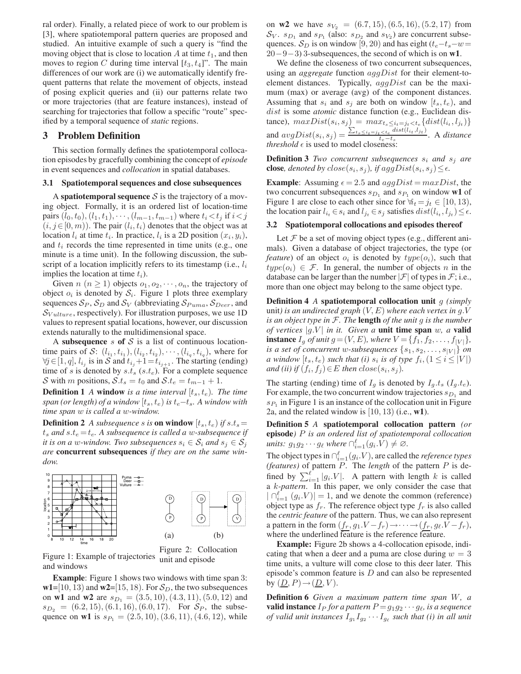ral order). Finally, a related piece of work to our problem is [3], where spatiotemporal pattern queries are proposed and studied. An intuitive example of such a query is "find the moving object that is close to location A at time  $t_1$ , and then moves to region C during time interval  $[t_3, t_4]$ ". The main differences of our work are (i) we automatically identify frequent patterns that relate the movement of objects, instead of posing explicit queries and (ii) our patterns relate two or more trajectories (that are feature instances), instead of searching for trajectories that follow a specific "route" specified by a temporal sequence of *static* regions.

## **3 Problem Definition**

This section formally defines the spatiotemporal collocation episodes by gracefully combining the concept of *episode* in event sequences and *collocation* in spatial databases.

#### **3.1 Spatiotemporal sequences and close subsequences**

A **spatiotemporal sequence**  $S$  is the trajectory of a moving object. Formally, it is an ordered list of location-time pairs  $(l_0, t_0), (l_1, t_1), \cdots, (l_{m-1}, t_{m-1})$  where  $t_i < t_j$  if  $i < j$  $(i, j \in [0, m))$ . The pair  $(l_i, t_i)$  denotes that the object was at location  $l_i$  at time  $t_i$ . In practice,  $l_i$  is a 2D position  $(x_i, y_i)$ , and  $t_i$  records the time represented in time units (e.g., one minute is a time unit). In the following discussion, the subscript of a location implicitly refers to its timestamp (i.e.,  $l_i$ ) implies the location at time  $t_i$ ).

Given  $n (n \ge 1)$  objects  $o_1, o_2, \dots, o_n$ , the trajectory of object  $o_i$  is denoted by  $S_i$ . Figure 1 plots three exemplary sequences  $S_P$ ,  $S_D$  and  $S_V$  (abbreviating  $S_{Puma}$ ,  $S_{Deer}$ , and  $\mathcal{S}_{Vulture}$ , respectively). For illustration purposes, we use 1D values to represent spatial locations, however, our discussion extends naturally to the multidimensional space.

A **subsequence** s of S is a list of continuous locationtime pairs of S:  $(l_{i_1}, t_{i_1}), (l_{i_2}, t_{i_2}), \cdots, (l_{i_n}, t_{i_n})$ , where for  $\forall j \in [1, q],$   $l_{i_j}$  is in  $\mathcal S$  and  $t_{i_j}+1=t_{i_{j+1}}.$  The starting (ending) time of s is denoted by  $s.t_s$  ( $s.t_e$ ). For a complete sequence S with m positions,  $S_t$ ,  $t_s = t_0$  and  $S_t$ ,  $t_e = t_{m-1} + 1$ .

**Definition 1** *A* **window** *is a time interval*  $[t_s, t_e)$ *. The time span (or length) of a window*  $[t_s, t_e]$  *is*  $t_e - t_s$ *. A window with time span* w *is called a* w*-window.*

**Definition 2** *A subsequence s is* **on window**  $[t_s, t_e]$  *if*  $s.t_s =$  $t_s$  and  $s.t_e = t_e$ . A subsequence is called a w-subsequence if *it is on a* w-window. Two subsequences  $s_i \in S_i$  and  $s_j \in S_j$ *are* **concurrent subsequences** *if they are on the same window.*



Figure 1: Example of trajectories and windows Figure 2: Collocation unit and episode

**Example**: Figure 1 shows two windows with time span 3:  $w1=[10, 13]$  and  $w2=[15, 18]$ . For  $S_D$ , the two subsequences on **w1** and **w2** are  $s_{D_1} = (3.5, 10), (4.3, 11), (5.0, 12)$  and  $s_{D_2} = (6.2, 15), (6.1, 16), (6.0, 17)$ . For  $S_P$ , the subsequence on **w1** is  $s_{P_1} = (2.5, 10), (3.6, 11), (4.6, 12),$  while on **w2** we have  $s_{V_2} = (6.7, 15), (6.5, 16), (5.2, 17)$  from  $S_V$ .  $s_{D_1}$  and  $s_{P_1}$  (also:  $s_{D_2}$  and  $s_{V_2}$ ) are concurrent subsequences.  $S_D$  is on window [9, 20) and has eight ( $t_e-t_s-w=$ 20−9−3) 3-subsequences, the second of which is on **w1**.

We define the closeness of two concurrent subsequences, using an *aggregate* function aggDist for their element-toelement distances. Typically,  $aggDist$  can be the maximum (max) or average (avg) of the component distances. Assuming that  $s_i$  and  $s_j$  are both on window  $[t_s, t_e)$ , and dist is some *atomic* distance function (e.g., Euclidean distance),  $maxDist(s_i, s_j) = max_{t_s \leq i_t = j_t \leq t_e} \{dist(l_{i_t}, l_{j_t})\}$ and  $avgDist(s_i, s_j) = \frac{\sum_{t_s \leq i_t = j_t \leq t_e} dist(l_{i_t}, l_{j_t})}{t_e - t_s}$ . A *distance threshold*  $\epsilon$  is used to model closeness:

**Definition 3** *Two concurrent subsequences*  $s_i$  *and*  $s_j$  *are* **close***, denoted by*  $close(s_i, s_j)$ *, if*  $aggDist(s_i, s_j) \leq \epsilon$ *.* 

**Example**: Assuming  $\epsilon = 2.5$  and  $aggDist = maxDist$ , the two concurrent subsequences  $s_{D_1}$  and  $s_{P_1}$  on window **w1** of Figure 1 are close to each other since for  $\forall i_t = j_t \in [10, 13)$ , the location pair  $l_{i_t} \in s_i$  and  $l_{j_t} \in s_j$  satisfies  $dist(l_{i_t}, l_{j_t}) \leq \epsilon$ .

### **3.2 Spatiotemporal collocations and episodes thereof**

Let  $\mathcal F$  be a set of moving object types (e.g., different animals). Given a database of object trajectories, the type (or *feature*) of an object  $o_i$  is denoted by  $type(o_i)$ , such that  $type(o_i) \in \mathcal{F}$ . In general, the number of objects n in the database can be larger than the number  $|\mathcal{F}|$  of types in  $\mathcal{F}$ ; i.e., more than one object may belong to the same object type.

**Definition 4** *A* **spatiotemporal collocation unit** g *(simply* unit*) is an undirected graph* (V,E) *where each vertex in* g.V *is an object type in* F*. The* **length** *of the unit* g *is the number of vertices*  $|g,V|$  *in it. Given a* **unit time span** w, a **valid instance**  $I_g$  *of unit*  $g = (V, E)$ *, where*  $V = \{f_1, f_2, \ldots, f_{|V|}\},$ *is a set of concurrent w-subsequences*  $\{s_1, s_2, \ldots, s_{|V|}\}$  *on a* window  $[t_s, t_e)$  *such that (i)*  $s_i$  *is of type*  $f_i$ ,  $(1 \leq i \leq |V|)$ *and (ii) if*  $(f_i, f_j) \in E$  *then*  $close(s_i, s_j)$ *.* 

The starting (ending) time of  $I_q$  is denoted by  $I_q.t_s$  ( $I_q.t_e$ ). For example, the two concurrent window trajectories  $s_{D_1}$  and  $s_{P_1}$  in Figure 1 is an instance of the collocation unit in Figure 2a, and the related window is [10, 13) (i.e., **w1**).

**Definition 5** *A* **spatiotemporal collocation pattern** *(or* **episode***)* P *is an ordered list of spatiotemporal collocation units:*  $g_1 g_2 \cdots g_\ell$  *where*  $\bigcap_{i=1}^{\ell} (g_i \cdot \hat{V}) \neq \emptyset$ *.* 

The object types in  $\bigcap_{i=1}^{\ell} (g_i \cdot V)$ , are called the *reference types (features)* of pattern P. The *length* of the pattern P is defined by  $\sum_{i=1}^{\ell} |g_i V|$ . A pattern with length k is called a k*-pattern*. In this paper, we only consider the case that  $|\bigcap_{i=1}^{\ell} (g_i.V)| = 1$ , and we denote the common (reference) object type as  $f_r$ . The reference object type  $f_r$  is also called the *centric feature* of the pattern. Thus, we can also represent a pattern in the form  $(f_r, g_1.V - f_r) \rightarrow \cdots \rightarrow (f_r, g_\ell.V - f_r)$ , where the underlined feature is the reference feature.

**Example:** Figure 2b shows a 4-collocation episode, indicating that when a deer and a puma are close during  $w = 3$ time units, a vulture will come close to this deer later. This episode's common feature is D and can also be represented by  $(\underline{D}, P) \rightarrow (\underline{D}, V)$ .

**Definition 6** *Given a maximum pattern time span* W*, a* **valid instance**  $I_P$  *for a pattern*  $P = g_1 g_2 \cdots g_\ell$ *, is a sequence of valid unit instances*  $I_{g_1}I_{g_2}\cdots I_{g_\ell}$  *such that (i) in all unit*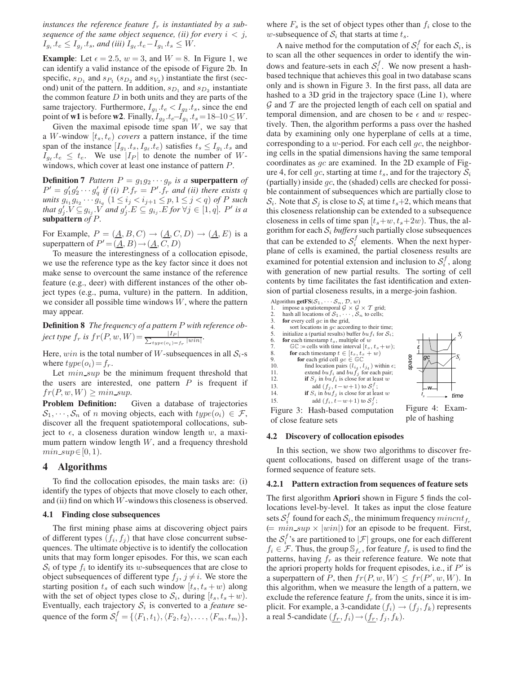*instances the reference feature*  $f_r$  *is instantiated by a subsequence of the same object sequence, (ii) for every*  $i < j$ ,  $I_{g_i}.t_e \leq I_{g_j}.t_s$ , and (iii)  $I_{g_\ell}.t_e-I_{g_1}.t_s \leq W$ .

**Example**: Let  $\epsilon = 2.5$ ,  $w = 3$ , and  $W = 8$ . In Figure 1, we can identify a valid instance of the episode of Figure 2b. In specific,  $s_{D_1}$  and  $s_{P_1}$  ( $s_{D_2}$  and  $s_{V_2}$ ) instantiate the first (second) unit of the pattern. In addition,  $s_{D_1}$  and  $s_{D_2}$  instantiate the common feature  $D$  in both units and they are parts of the same trajectory. Furthermore,  $I_{g_1} \tcdot t_e < I_{g_2} \tcdot t_s$ , since the end point of **w1** is before **w2**. Finally,  $I_{g_2} \tcdot t_e - I_{g_1} \tcdot t_s = 18-10 ≤ W$ .

Given the maximal episode time span  $W$ , we say that a W-window  $[t_s, t_e]$  *covers* a pattern instance, if the time span of the instance  $[I_{g_1}.t_s, I_{g_\ell}.t_e)$  satisfies  $t_s \leq I_{g_1}.t_s$  and  $I_{q_\ell}, t_e \leq t_e$ . We use  $|I_P|$  to denote the number of Wwindows, which cover at least one instance of pattern P.

**Definition 7** Pattern  $P = g_1 g_2 \cdots g_p$  is a **superpattern** of  $P' = g'_1 g'_2 \cdots g'_q$  if (i)  $P.f_r = P'.f_r$  and (ii) there exists q  $u$ nits  $g_{i_1} g_{i_2} \cdots \hat{g}_{i_q}$   $(1 \leq i_j < i_{j+1} \leq p, 1 \leq j < q)$  of *P* such *that*  $g'_j \cdot V \subseteq g_{i_j} \cdot V$  *and*  $g'_j \cdot E \subseteq g_{i_j} \cdot E$  *for*  $\forall j \in [1, q]$ *. P' is a* **subpattern** *of* P*.*

For Example,  $P = (\underline{A}, B, C) \rightarrow (\underline{A}, C, D) \rightarrow (\underline{A}, E)$  is a superpattern of  $P' = (\underline{A}, B) \rightarrow (\underline{A}, C, D)$ 

To measure the interestingness of a collocation episode, we use the reference type as the key factor since it does not make sense to overcount the same instance of the reference feature (e.g., deer) with different instances of the other object types (e.g., puma, vulture) in the pattern. In addition, we consider all possible time windows  $W$ , where the pattern may appear.

**Definition 8** *The frequency of a pattern* P *with reference object type*  $f_r$  *is*  $fr(P, w, W) = \frac{|I_P|}{\sum_{type(o_i) = f_r} |win|}.$ 

Here, win is the total number of W-subsequences in all  $S_i$ -s where  $type(o_i)=f_r$ .

Let  $min\_sup$  be the minimum frequent threshold that the users are interested, one pattern  $P$  is frequent if  $fr(P, w, W) \geq min\_sup.$ <br>**Problem Definition:** 

Given a database of trajectories  $S_1, \dots, S_n$  of n moving objects, each with  $type(o_i) \in \mathcal{F}$ , discover all the frequent spatiotemporal collocations, subject to  $\epsilon$ , a closeness duration window length w, a maximum pattern window length  $W$ , and a frequency threshold  $min\_sup \in [0, 1)$ .

## **4 Algorithms**

To find the collocation episodes, the main tasks are: (i) identify the types of objects that move closely to each other, and (ii) find on which  $W$ -windows this closeness is observed.

### **4.1 Finding close subsequences**

The first mining phase aims at discovering object pairs of different types  $(f_i, f_j)$  that have close concurrent subsequences. The ultimate objective is to identify the collocation units that may form longer episodes. For this, we scan each  $S_i$  of type  $f_i$  to identify its w-subsequences that are close to object subsequences of different type  $f_j$ ,  $j \neq i$ . We store the starting position  $t_s$  of each such window  $[t_s, t_s + w]$  along with the set of object types close to  $S_i$ , during  $[t_s, t_s + w)$ . Eventually, each trajectory  $S_i$  is converted to a *feature* sequence of the form  $S_i^f = \{ \langle F_1, t_1 \rangle, \langle F_2, t_2 \rangle, \dots, \langle F_m, t_m \rangle \},\$ 

where  $F_s$  is the set of object types other than  $f_i$  close to the w-subsequence of  $S_i$  that starts at time  $t_s$ .

A naive method for the computation of  $S_i^f$  for each  $S_i$ , is to scan all the other sequences in order to identify the windows and feature-sets in each  $S_i^f$ . We now present a hashbased technique that achieves this goal in two database scans only and is shown in Figure 3. In the first pass, all data are hashed to a 3D grid in the trajectory space (Line 1), where  $\mathcal G$  and  $\mathcal T$  are the projected length of each cell on spatial and temporal dimension, and are chosen to be  $\epsilon$  and w respectively. Then, the algorithm performs a pass over the hashed data by examining only one hyperplane of cells at a time, corresponding to a  $w$ -period. For each cell  $gc$ , the neighboring cells in the spatial dimensions having the same temporal coordinates as gc are examined. In the 2D example of Figure 4, for cell *qc*, starting at time  $t_s$ , and for the trajectory  $S_i$ (partially) inside  $gc$ , the (shaded) cells are checked for possible containment of subsequences which are partially close to  $S_i$ . Note that  $S_j$  is close to  $S_i$  at time  $t_s+2$ , which means that this closeness relationship can be extended to a subsequence closeness in cells of time span  $[t_s+w, t_s+2w)$ . Thus, the algorithm for each  $S_i$  *buffers* such partially close subsequences that can be extended to  $S_i^f$  elements. When the next hyperplane of cells is examined, the partial closeness results are examined for potential extension and inclusion to  $S_i^f$ , along with generation of new partial results. The sorting of cell contents by time facilitates the fast identification and extension of partial closeness results, in a merge-join fashion.

Algorithm **getFS**( $S_1, \dots, S_n, \mathcal{D}, w$ )<br>1. impose a spatiotemporal  $G \times G$ 1. impose a spatiotemporal  $G \times G \times T$  grid;<br>2. hash all locations of  $S_1, \dots, S_n$  to cells; 2. hash all locations of  $S_1$ ,  $\cdot$ <br>3. **for** every cell *qc* in the gri 3. **for** every cell  $gc$  in the grid,<br>4. sort locations in  $gc$  accor 4. sort locations in gc according to their time;<br>5. initialize a (partial results) buffer  $huf_x$  for  $S_x$ : 5. initialize a (partial results) buffer  $bu f_i$  for  $S_i$ ;<br>6. **for** each timestamp  $t_e$ , multiple of w 6. **for** each timestamp  $t_s$ , multiple of w<br>7.  $\mathbb{G}\mathbb{C}$  := cells with time interval  $[t_s]$ . 7. GC := cells with time interval  $[t_s, t_s+w)$ ;<br>8. for each timestamp  $t \in [t_s, t_s+w)$ 8. **for** each timestamp  $t \in [t_s, t_s + w)$ <br>9. **for** each grid cell  $gc \in \mathbb{GC}$ 10. find location pairs  $(l_{i_t}, l_{j_t})$  within  $\epsilon$ ;<br>
11. extend  $bu f_i$  and  $bu f_j$  for each pair;<br>
12 **if**  $S \cdot$  in  $bu f_j$  is close for at least  $u$ . 12. **if**  $S_j$  in  $buf_i$  is close for at least w<br>13. **add**  $(f_i, t-w+1)$  to  $S_i^f$ ; 13. add  $(f_j, t-w+1)$  to  $S_i^T$ ;<br>
14. **if**  $S_i$  in  $buf_j$  is close for at least w 15. add  $(f_i, t-w+1)$  to  $S_j^J$ ; *time space İ w Si Sj gc t s*

Figure 3: Hash-based computation of close feature sets

Figure 4: Example of hashing

#### **4.2 Discovery of collocation episodes**

In this section, we show two algorithms to discover frequent collocations, based on different usage of the transformed sequence of feature sets.

#### **4.2.1 Pattern extraction from sequences of feature sets**

The first algorithm **Apriori** shown in Figure 5 finds the collocations level-by-level. It takes as input the close feature sets  $S_i^f$  found for each  $S_i$ , the minimum frequency mincnt  $f_f$  $(= min\_sup \times |win|)$  for an episode to be frequent. First, the  $S_i^f$ 's are partitioned to  $|\mathcal{F}|$  groups, one for each different  $f_i \in \mathcal{F}$ . Thus, the group  $\mathbb{S}_{f_r}$ , for feature  $f_r$  is used to find the patterns, having  $f_r$  as their reference feature. We note that the apriori property holds for frequent episodes, i.e., if  $P'$  is a superpattern of P, then  $fr(P, w, W) \leq fr(P', w, W)$ . In this algorithm, when we measure the length of a pattern, we exclude the reference feature  $f_r$  from the units, since it is implicit. For example, a 3-candidate  $(f_i) \rightarrow (f_j, f_k)$  represents a real 5-candidate  $(f_r, f_i) \rightarrow (f_r, f_j, f_k)$ .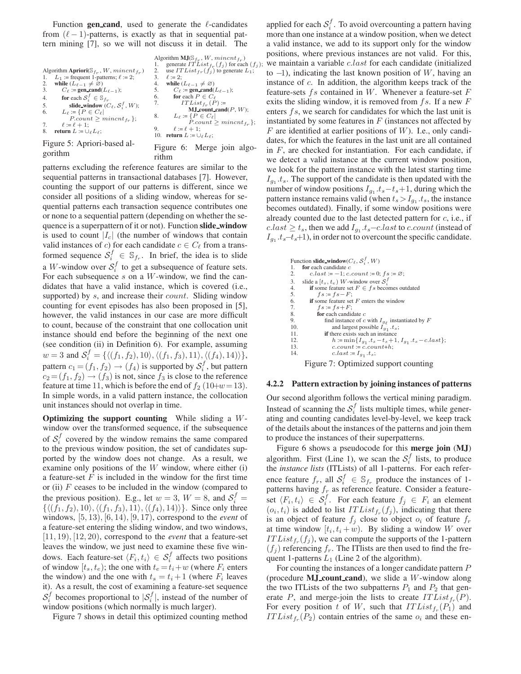Function gen-cand, used to generate the  $\ell$ -candidates from  $(\ell - 1)$ -patterns, is exactly as that in sequential pattern mining [7], so we will not discuss it in detail. The

| Algorithm Apriori( $\mathcal{S}_{f_r}, W, mincnt_{f_r}$ )<br>$L_1$ := frequent 1-patterns; $\ell$ := 2;<br>1.<br>while $(L_{\ell-1} \neq \emptyset)$<br>2.<br>3.<br>$C_\ell$ := gen_cand( $L_{\ell-1}$ );<br>for each $S_i^f \in \mathbb{S}_{fr}$<br>4. | Algorithm $MJ(S_{fr}, W, mincnt_{fr})$<br>generate $ITList_{fr}(f_j)$ for each $(f_j)$ ;<br>1.<br>use $ITList_{fr}(f_i)$ to generate $L_1$ ;<br>2.<br>3.<br>$\ell := 2$ :<br>while $(L_{\ell-1} \neq \emptyset)$<br>4.<br>5.<br>$C_\ell$ := gen_cand( $L_{\ell-1}$ );<br>6. for each $P \in C_{\ell}$<br>7.<br>$ITList_{f_r}(P)$ := |
|---------------------------------------------------------------------------------------------------------------------------------------------------------------------------------------------------------------------------------------------------------|-------------------------------------------------------------------------------------------------------------------------------------------------------------------------------------------------------------------------------------------------------------------------------------------------------------------------------------|
| slide_window $(C_{\ell}, \mathcal{S}_{i}^{f}, W)$ ;<br>5.<br>6.<br>$L_\ell \coloneqq \{P \in C_\ell  $<br>$P.count > mincnt_{f_m}$ ;                                                                                                                    | <b>M.J</b> count cand( $P, W$ );<br>8.<br>$L_{\ell} \coloneqq \{ P \in C_{\ell} \}$                                                                                                                                                                                                                                                 |
| 7.<br>$\ell := \ell + 1$ :<br>8.<br><b>return</b> $L := \bigcup_{\ell} L_{\ell}$ ;                                                                                                                                                                      | $P_{count} > mincnt_{f_r};$<br>$\ell := \ell + 1$ :<br>9.<br>10. return $L := \bigcup_{\ell} L_{\ell}$ ;                                                                                                                                                                                                                            |
| Figura 5. Apriori hosad ol                                                                                                                                                                                                                              |                                                                                                                                                                                                                                                                                                                                     |

Figure 5: Apriori-based algorithm

Figure 6: Merge join algorithm

patterns excluding the reference features are similar to the sequential patterns in transactional databases [7]. However, counting the support of our patterns is different, since we consider all positions of a sliding window, whereas for sequential patterns each transaction sequence contributes one or none to a sequential pattern (depending on whether the sequence is a superpattern of it or not). Function **slide window** is used to count  $|I_c|$  (the number of windows that contain valid instances of c) for each candidate  $c \in C_{\ell}$  from a transformed sequence  $S_i^f \in \mathbb{S}_{f_r}$ . In brief, the idea is to slide a *W*-window over  $S_i^f$  to get a subsequence of feature sets. For each subsequence  $s$  on a  $W$ -window, we find the candidates that have a valid instance, which is covered (i.e., supported) by s, and increase their *count*. Sliding window counting for event episodes has also been proposed in [5], however, the valid instances in our case are more difficult to count, because of the constraint that one collocation unit instance should end before the beginning of the next one (see condition (ii) in Definition 6). For example, assuming  $w=3$  and  $\mathcal{S}_i^f=\{ \langle (f_1,f_2),10\rangle, \langle (f_1,f_3),11\rangle, \langle (f_4),14)\rangle \},$ pattern  $c_1 = (f_1, f_2) \rightarrow (f_4)$  is supported by  $S_i^f$ , but pattern  $c_2 = (f_1, f_2) \rightarrow (f_3)$  is not, since  $f_3$  is close to the reference feature at time 11, which is before the end of  $f_2$  (10+w=13). In simple words, in a valid pattern instance, the collocation unit instances should not overlap in time.

**Optimizing the support counting** While sliding a Wwindow over the transformed sequence, if the subsequence of  $S_i^f$  covered by the window remains the same compared to the previous window position, the set of candidates supported by the window does not change. As a result, we examine only positions of the  $W$  window, where either  $(i)$ a feature-set  $F$  is included in the window for the first time or (ii)  $F$  ceases to be included in the window (compared to the previous position). E.g., let  $w = 3$ ,  $W = 8$ , and  $S_i^f =$  $\{ \langle (f_1, f_2), 10 \rangle, \langle (f_1, f_3), 11 \rangle, \langle (f_4), 14 \rangle \rangle \}.$  Since only three windows, [5, 13), [6, 14), [9, 17), correspond to the *event* of a feature-set entering the sliding window, and two windows, [11, 19), [12, 20), correspond to the *event* that a feature-set leaves the window, we just need to examine these five windows. Each feature-set  $\langle F_i, t_i \rangle \in S_i^f$  affects two positions of window  $[t_s, t_e)$ ; the one with  $t_e = t_i + w$  (where  $F_i$  enters the window) and the one with  $t_s = t_i + 1$  (where  $F_i$  leaves it). As a result, the cost of examining a feature-set sequence  $S_i^f$  becomes proportional to  $|S_i^f|$ , instead of the number of window positions (which normally is much larger).

Figure 7 shows in detail this optimized counting method

applied for each  $S_i^f$ . To avoid overcounting a pattern having more than one instance at a window position, when we detect a valid instance, we add to its support only for the window positions, where previous instances are not valid. For this, we maintain a variable *c.last* for each candidate (initialized to  $-1$ ), indicating the last known position of W, having an instance of c. In addition, the algorithm keeps track of the feature-sets  $fs$  contained in  $W$ . Whenever a feature-set  $F$ exits the sliding window, it is removed from  $fs$ . If a new  $F$ enters  $fs$ , we search for candidates for which the last unit is instantiated by some features in  $F$  (instances not affected by  $F$  are identified at earlier positions of  $W$ ). I.e., only candidates, for which the features in the last unit are all contained in  $F$ , are checked for instantiation. For each candidate, if we detect a valid instance at the current window position, we look for the pattern instance with the latest starting time  $I_{q_1}.t_s$ . The support of the candidate is then updated with the number of window positions  $I_{g_1}.t_s-t_s+1$ , during which the pattern instance remains valid (when  $t_s > I_{q_1} .t_s$ , the instance becomes outdated). Finally, if some window positions were already counted due to the last detected pattern for  $c$ , i.e., if  $c-last \geq t_s$ , then we add  $I_{q_1}.t_s$ – $c-last$  to  $c.count$  (instead of  $I_{q_1}.t_s-t_s+1$ , in order not to overcount the specific candidate.

```
Function slide_window(C_{\ell}, S_i^J, W)<br>1. for each candidate c
1. for each candidate c<br>2. c<math>. last := -1: c.
2. c.last := -1; c.count := 0; fs := \emptyset;<br>3. slide a [t_s, t_s) W-window over S_t^f3. slide a [t_s, t_e) W-window over S_i^J<br>4. if some feature set F \in f s becomes outdated
5. f s := fs - F;<br>6. if some feature set
6. if some feature set F enters the window<br>7. fs := fs + F;
7. fs := fs + F;<br>8. for each candid
8. for each candidate c find instance of c
9. find instance of c with I_{g_\ell} instantiated by F<br>10. and largest possible I_{g_1}, t<sub>s</sub>;
 10. and largest possible I_{g_1}.ts;<br>
11. if there exists such an instance<br>
h := \min\{I_{g_1} \cdot t_s - t_s + 1, I_{g_1} \cdot t_s - c \cdot last\};<br>
12. a \cdot \text{count} + b \cdot \text{count}13. c.count := c.count+h;14. c.\mathit{last} \coloneqq I_{g_1} .t_s;
```
Figure 7: Optimized support counting

#### **4.2.2 Pattern extraction by joining instances of patterns**

Our second algorithm follows the vertical mining paradigm. Instead of scanning the  $S_i^f$  lists multiple times, while generating and counting candidates level-by-level, we keep track of the details about the instances of the patterns and join them to produce the instances of their superpatterns.

Figure 6 shows a pseudocode for this **merge join** (**MJ**) algorithm. First (Line 1), we scan the  $S_i^f$  lists, to produce the *instance lists* (ITLists) of all 1-patterns. For each reference feature  $f_r$ , all  $S_i^f \in \mathbb{S}_{f_r}$  produce the instances of 1patterns having  $f_r$  as reference feature. Consider a featureset  $\langle F_i, t_i \rangle \in S_i^f$ . For each feature  $f_j \in F_i$  an element  $(o_i, t_i)$  is added to list  $ITList_{f_r}(f_i)$ , indicating that there is an object of feature  $f_i$  close to object  $o_i$  of feature  $f_r$ at time window  $[t_i, t_i + w)$ . By sliding a window W over  $ITList_{f_r}(f_i)$ , we can compute the supports of the 1-pattern  $(f_i)$  referencing  $f_r$ . The IT lists are then used to find the frequent 1-patterns  $L_1$  (Line 2 of the algorithm).

For counting the instances of a longer candidate pattern P (procedure **MJ count cand**), we slide a W-window along the two ITLists of the two subpatterns  $P_1$  and  $P_2$  that generate P, and merge-join the lists to create  $ITList_{f_r}(P)$ . For every position t of W, such that  $ITList_{f_r}(P_1)$  and  $ITList_{f_r}(P_2)$  contain entries of the same  $o_i$  and these en